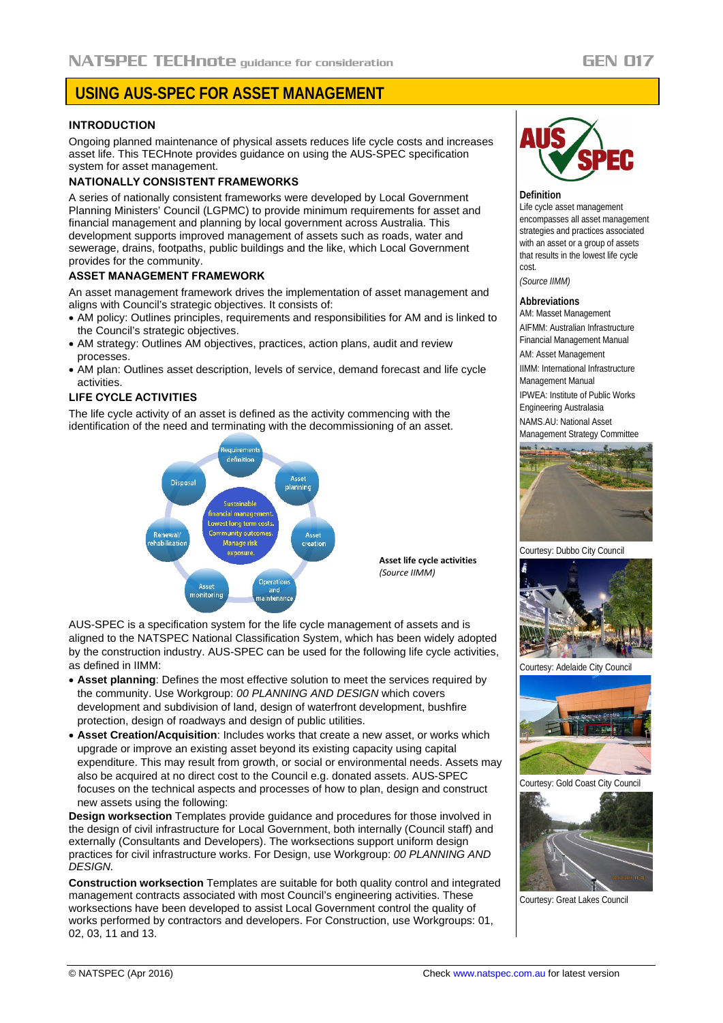# **USING AUS-SPEC FOR ASSET MANAGEMENT**

## **INTRODUCTION**

Ongoing planned maintenance of physical assets reduces life cycle costs and increases asset life. This TECHnote provides guidance on using the AUS-SPEC specification system for asset management.

## **NATIONALLY CONSISTENT FRAMEWORKS**

A series of nationally consistent frameworks were developed by Local Government Planning Ministers' Council (LGPMC) to provide minimum requirements for asset and financial management and planning by local government across Australia. This development supports improved management of assets such as roads, water and sewerage, drains, footpaths, public buildings and the like, which Local Government provides for the community.

#### **ASSET MANAGEMENT FRAMEWORK**

An asset management framework drives the implementation of asset management and aligns with Council's strategic objectives. It consists of:

- AM policy: Outlines principles, requirements and responsibilities for AM and is linked to the Council's strategic objectives.
- AM strategy: Outlines AM objectives, practices, action plans, audit and review processes.
- AM plan: Outlines asset description, levels of service, demand forecast and life cycle activities.

## **LIFE CYCLE ACTIVITIES**

The life cycle activity of an asset is defined as the activity commencing with the identification of the need and terminating with the decommissioning of an asset.



**Asset life cycle activities** *(Source IIMM)*

AUS-SPEC is a specification system for the life cycle management of assets and is aligned to the NATSPEC National Classification System, which has been widely adopted by the construction industry. AUS-SPEC can be used for the following life cycle activities, as defined in IIMM:

- **Asset planning**: Defines the most effective solution to meet the services required by the community. Use Workgroup: *00 PLANNING AND DESIGN* which covers development and subdivision of land, design of waterfront development, bushfire protection, design of roadways and design of public utilities.
- **Asset Creation/Acquisition**: Includes works that create a new asset, or works which upgrade or improve an existing asset beyond its existing capacity using capital expenditure. This may result from growth, or social or environmental needs. Assets may also be acquired at no direct cost to the Council e.g. donated assets. AUS-SPEC focuses on the technical aspects and processes of how to plan, design and construct new assets using the following:

**Design worksection** Templates provide guidance and procedures for those involved in the design of civil infrastructure for Local Government, both internally (Council staff) and externally (Consultants and Developers). The worksections support uniform design practices for civil infrastructure works. For Design, use Workgroup: *00 PLANNING AND DESIGN.*

**Construction worksection** Templates are suitable for both quality control and integrated management contracts associated with most Council's engineering activities. These worksections have been developed to assist Local Government control the quality of works performed by contractors and developers. For Construction, use Workgroups: 01, 02, 03, 11 and 13.



#### **Definition**

Life cycle asset management encompasses all asset management strategies and practices associated with an asset or a group of assets that results in the lowest life cycle cost.

*(Source IIMM)*

## **Abbreviations**

AM: Masset Management AIFMM: Australian Infrastructure Financial Management Manual AM: Asset Management IIMM: International Infrastructure Management Manual IPWEA: Institute of Public Works Engineering Australasia NAMS.AU: National Asset Management Strategy Committee



Courtesy: Dubbo City Council



Courtesy: Adelaide City Council



Courtesy: Gold Coast City Council



Courtesy: Great Lakes Council